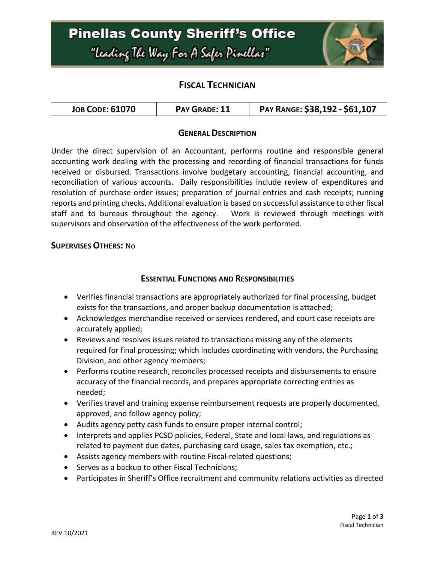

## **FISCAL TECHNICIAN**

| <b>JOB CODE: 61070</b> | <b>PAY GRADE: 11</b> | PAY RANGE: \$38,192 - \$61,107 |
|------------------------|----------------------|--------------------------------|
|------------------------|----------------------|--------------------------------|

### **GENERAL DESCRIPTION**

Under the direct supervision of an Accountant, performs routine and responsible general accounting work dealing with the processing and recording of financial transactions for funds received or disbursed. Transactions involve budgetary accounting, financial accounting, and reconciliation of various accounts. Daily responsibilities include review of expenditures and resolution of purchase order issues; preparation of journal entries and cash receipts; running reports and printing checks. Additional evaluation is based on successful assistance to other fiscal staff and to bureaus throughout the agency. Work is reviewed through meetings with supervisors and observation of the effectiveness of the work performed.

#### **SUPERVISES OTHERS:** No

### **ESSENTIAL FUNCTIONS AND RESPONSIBILITIES**

- Verifies financial transactions are appropriately authorized for final processing, budget exists for the transactions, and proper backup documentation is attached;
- Acknowledges merchandise received or services rendered, and court case receipts are accurately applied;
- Reviews and resolves issues related to transactions missing any of the elements required for final processing; which includes coordinating with vendors, the Purchasing Division, and other agency members;
- Performs routine research, reconciles processed receipts and disbursements to ensure accuracy of the financial records, and prepares appropriate correcting entries as needed;
- Verifies travel and training expense reimbursement requests are properly documented, approved, and follow agency policy;
- Audits agency petty cash funds to ensure proper internal control;
- Interprets and applies PCSO policies, Federal, State and local laws, and regulations as related to payment due dates, purchasing card usage, sales tax exemption, etc.;
- Assists agency members with routine Fiscal-related questions;
- Serves as a backup to other Fiscal Technicians;
- Participates in Sheriff's Office recruitment and community relations activities as directed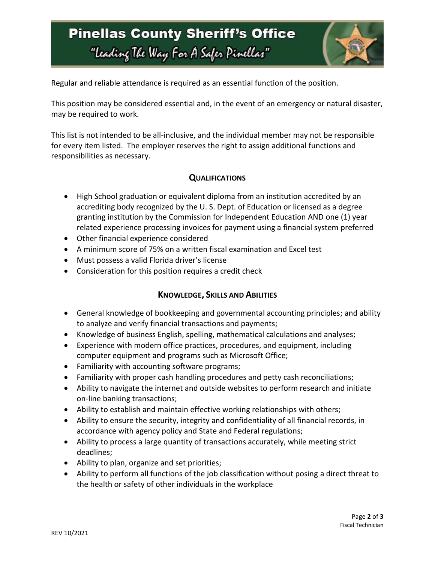## **Pinellas County Sheriff's Office** "Leading The Way For A Safer Pinellar"



Regular and reliable attendance is required as an essential function of the position.

This position may be considered essential and, in the event of an emergency or natural disaster, may be required to work.

This list is not intended to be all-inclusive, and the individual member may not be responsible for every item listed. The employer reserves the right to assign additional functions and responsibilities as necessary.

## **QUALIFICATIONS**

- High School graduation or equivalent diploma from an institution accredited by an accrediting body recognized by the U. S. Dept. of Education or licensed as a degree granting institution by the Commission for Independent Education AND one (1) year related experience processing invoices for payment using a financial system preferred
- Other financial experience considered
- A minimum score of 75% on a written fiscal examination and Excel test
- Must possess a valid Florida driver's license
- Consideration for this position requires a credit check

## **KNOWLEDGE, SKILLS AND ABILITIES**

- General knowledge of bookkeeping and governmental accounting principles; and ability to analyze and verify financial transactions and payments;
- Knowledge of business English, spelling, mathematical calculations and analyses;
- Experience with modern office practices, procedures, and equipment, including computer equipment and programs such as Microsoft Office;
- Familiarity with accounting software programs;
- Familiarity with proper cash handling procedures and petty cash reconciliations;
- Ability to navigate the internet and outside websites to perform research and initiate on-line banking transactions;
- Ability to establish and maintain effective working relationships with others;
- Ability to ensure the security, integrity and confidentiality of all financial records, in accordance with agency policy and State and Federal regulations;
- Ability to process a large quantity of transactions accurately, while meeting strict deadlines;
- Ability to plan, organize and set priorities;
- Ability to perform all functions of the job classification without posing a direct threat to the health or safety of other individuals in the workplace